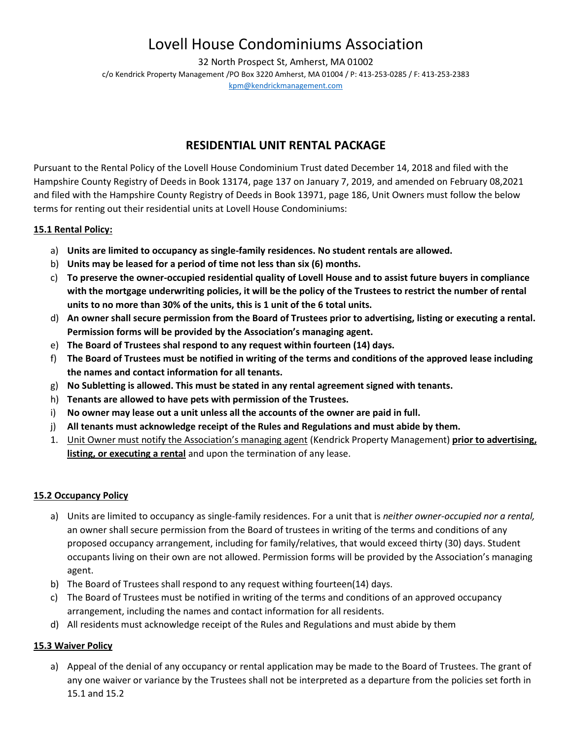32 North Prospect St, Amherst, MA 01002 c/o Kendrick Property Management /PO Box 3220 Amherst, MA 01004 / P: 413-253-0285 / F: 413-253-2383 [kpm@kendrickmanagement.com](mailto:kpm@kendrickmanagement.com)

### **RESIDENTIAL UNIT RENTAL PACKAGE**

Pursuant to the Rental Policy of the Lovell House Condominium Trust dated December 14, 2018 and filed with the Hampshire County Registry of Deeds in Book 13174, page 137 on January 7, 2019, and amended on February 08,2021 and filed with the Hampshire County Registry of Deeds in Book 13971, page 186, Unit Owners must follow the below terms for renting out their residential units at Lovell House Condominiums:

### **15.1 Rental Policy:**

- a) **Units are limited to occupancy as single-family residences. No student rentals are allowed.**
- b) **Units may be leased for a period of time not less than six (6) months.**
- c) **To preserve the owner-occupied residential quality of Lovell House and to assist future buyers in compliance with the mortgage underwriting policies, it will be the policy of the Trustees to restrict the number of rental units to no more than 30% of the units, this is 1 unit of the 6 total units.**
- d) **An owner shall secure permission from the Board of Trustees prior to advertising, listing or executing a rental. Permission forms will be provided by the Association's managing agent.**
- e) **The Board of Trustees shal respond to any request within fourteen (14) days.**
- f) **The Board of Trustees must be notified in writing of the terms and conditions of the approved lease including the names and contact information for all tenants.**
- g) **No Subletting is allowed. This must be stated in any rental agreement signed with tenants.**
- h) **Tenants are allowed to have pets with permission of the Trustees.**
- i) **No owner may lease out a unit unless all the accounts of the owner are paid in full.**
- j) **All tenants must acknowledge receipt of the Rules and Regulations and must abide by them.**
- 1. Unit Owner must notify the Association's managing agent (Kendrick Property Management) **prior to advertising, listing, or executing a rental** and upon the termination of any lease.

### **15.2 Occupancy Policy**

- a) Units are limited to occupancy as single-family residences. For a unit that is *neither owner-occupied nor a rental,*  an owner shall secure permission from the Board of trustees in writing of the terms and conditions of any proposed occupancy arrangement, including for family/relatives, that would exceed thirty (30) days. Student occupants living on their own are not allowed. Permission forms will be provided by the Association's managing agent.
- b) The Board of Trustees shall respond to any request withing fourteen(14) days.
- c) The Board of Trustees must be notified in writing of the terms and conditions of an approved occupancy arrangement, including the names and contact information for all residents.
- d) All residents must acknowledge receipt of the Rules and Regulations and must abide by them

### **15.3 Waiver Policy**

a) Appeal of the denial of any occupancy or rental application may be made to the Board of Trustees. The grant of any one waiver or variance by the Trustees shall not be interpreted as a departure from the policies set forth in 15.1 and 15.2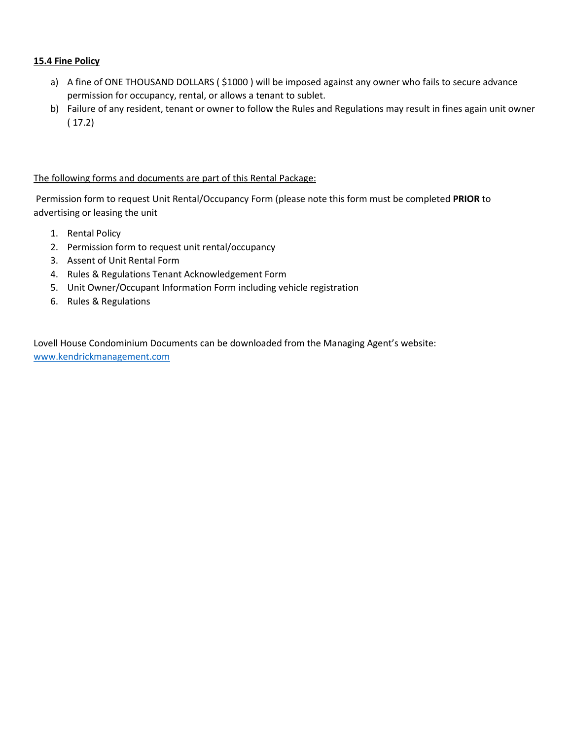#### **15.4 Fine Policy**

- a) A fine of ONE THOUSAND DOLLARS (\$1000) will be imposed against any owner who fails to secure advance permission for occupancy, rental, or allows a tenant to sublet.
- b) Failure of any resident, tenant or owner to follow the Rules and Regulations may result in fines again unit owner ( 17.2)

#### The following forms and documents are part of this Rental Package:

Permission form to request Unit Rental/Occupancy Form (please note this form must be completed **PRIOR** to advertising or leasing the unit

- 1. Rental Policy
- 2. Permission form to request unit rental/occupancy
- 3. Assent of Unit Rental Form
- 4. Rules & Regulations Tenant Acknowledgement Form
- 5. Unit Owner/Occupant Information Form including vehicle registration
- 6. Rules & Regulations

Lovell House Condominium Documents can be downloaded from the Managing Agent's website: [www.kendrickmanagement.com](http://www.kendrickmanagement.com/)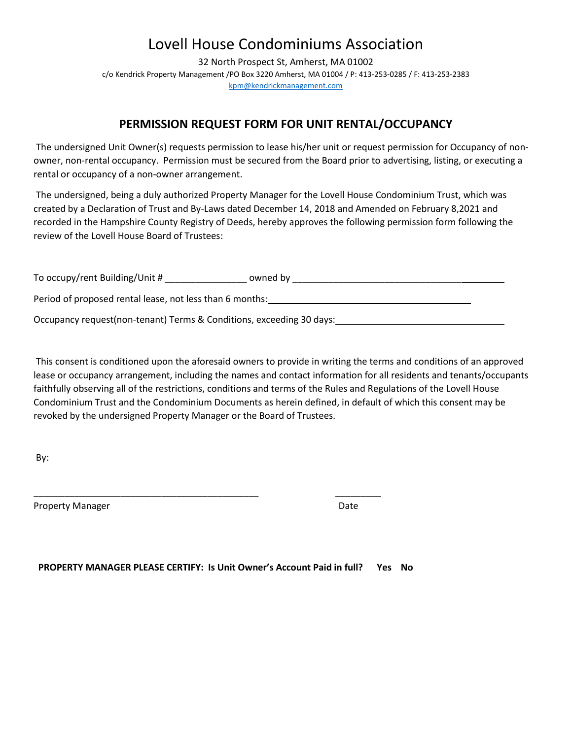32 North Prospect St, Amherst, MA 01002 c/o Kendrick Property Management /PO Box 3220 Amherst, MA 01004 / P: 413-253-0285 / F: 413-253-2383 [kpm@kendrickmanagement.com](mailto:kpm@kendrickmanagement.com)

## **PERMISSION REQUEST FORM FOR UNIT RENTAL/OCCUPANCY**

The undersigned Unit Owner(s) requests permission to lease his/her unit or request permission for Occupancy of nonowner, non-rental occupancy. Permission must be secured from the Board prior to advertising, listing, or executing a rental or occupancy of a non-owner arrangement.

The undersigned, being a duly authorized Property Manager for the Lovell House Condominium Trust, which was created by a Declaration of Trust and By-Laws dated December 14, 2018 and Amended on February 8,2021 and recorded in the Hampshire County Registry of Deeds, hereby approves the following permission form following the review of the Lovell House Board of Trustees:

| To occupy/rent Building/Unit #                                       | owned by |  |
|----------------------------------------------------------------------|----------|--|
| Period of proposed rental lease, not less than 6 months:             |          |  |
| Occupancy request(non-tenant) Terms & Conditions, exceeding 30 days: |          |  |

This consent is conditioned upon the aforesaid owners to provide in writing the terms and conditions of an approved lease or occupancy arrangement, including the names and contact information for all residents and tenants/occupants faithfully observing all of the restrictions, conditions and terms of the Rules and Regulations of the Lovell House Condominium Trust and the Condominium Documents as herein defined, in default of which this consent may be revoked by the undersigned Property Manager or the Board of Trustees.

By:

Property Manager **Date** Date of *Date* Date of *Date* Date of *Date* Date of *Date* Date

 **PROPERTY MANAGER PLEASE CERTIFY: Is Unit Owner's Account Paid in full? Yes No**

\_\_\_\_\_\_\_\_\_\_\_\_\_\_\_\_\_\_\_\_\_\_\_\_\_\_\_\_\_\_\_\_\_\_\_\_\_\_\_\_\_\_\_\_ \_\_\_\_\_\_\_\_\_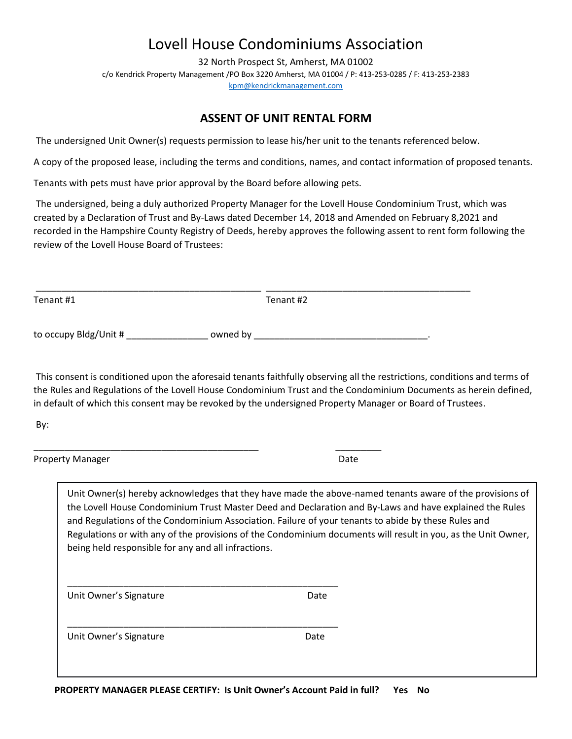32 North Prospect St, Amherst, MA 01002 c/o Kendrick Property Management /PO Box 3220 Amherst, MA 01004 / P: 413-253-0285 / F: 413-253-2383 [kpm@kendrickmanagement.com](mailto:kpm@kendrickmanagement.com)

### **ASSENT OF UNIT RENTAL FORM**

The undersigned Unit Owner(s) requests permission to lease his/her unit to the tenants referenced below.

A copy of the proposed lease, including the terms and conditions, names, and contact information of proposed tenants.

Tenants with pets must have prior approval by the Board before allowing pets.

\_\_\_\_\_\_\_\_\_\_\_\_\_\_\_\_\_\_\_\_\_\_\_\_\_\_\_\_\_\_\_\_\_\_\_\_\_\_\_\_\_\_\_\_ \_\_\_\_\_\_\_\_\_

\_\_\_\_\_\_\_\_\_\_\_\_\_\_\_\_\_\_\_\_\_\_\_\_\_\_\_\_\_\_\_\_\_\_\_\_\_\_\_\_\_\_\_\_\_\_\_\_\_\_\_\_\_

\_\_\_\_\_\_\_\_\_\_\_\_\_\_\_\_\_\_\_\_\_\_\_\_\_\_\_\_\_\_\_\_\_\_\_\_\_\_\_\_\_\_\_\_\_\_\_\_\_\_\_\_\_

The undersigned, being a duly authorized Property Manager for the Lovell House Condominium Trust, which was created by a Declaration of Trust and By-Laws dated December 14, 2018 and Amended on February 8,2021 and recorded in the Hampshire County Registry of Deeds, hereby approves the following assent to rent form following the review of the Lovell House Board of Trustees:

| Tenant #1             | Tenant #2 |  |
|-----------------------|-----------|--|
| to occupy Bldg/Unit # | owned by  |  |

\_\_\_\_\_\_\_\_\_\_\_\_\_\_\_\_\_\_\_\_\_\_\_\_\_\_\_\_\_\_\_\_\_\_\_\_\_\_\_\_\_\_\_\_ \_\_\_\_\_\_\_\_\_\_\_\_\_\_\_\_\_\_\_\_\_\_\_\_\_\_\_\_\_\_\_\_\_\_\_\_\_\_\_\_

This consent is conditioned upon the aforesaid tenants faithfully observing all the restrictions, conditions and terms of the Rules and Regulations of the Lovell House Condominium Trust and the Condominium Documents as herein defined, in default of which this consent may be revoked by the undersigned Property Manager or Board of Trustees.

By:

Property Manager and Date Date of the Date of the Date of the Date of the Date of the Date of the Date of the Date of the Date of the Date of the Date of the Date of the Date of the Date of the Date of the Date of the Date

Unit Owner(s) hereby acknowledges that they have made the above-named tenants aware of the provisions of the Lovell House Condominium Trust Master Deed and Declaration and By-Laws and have explained the Rules and Regulations of the Condominium Association. Failure of your tenants to abide by these Rules and Regulations or with any of the provisions of the Condominium documents will result in you, as the Unit Owner, being held responsible for any and all infractions.

Unit Owner's Signature Date

Unit Owner's Signature Date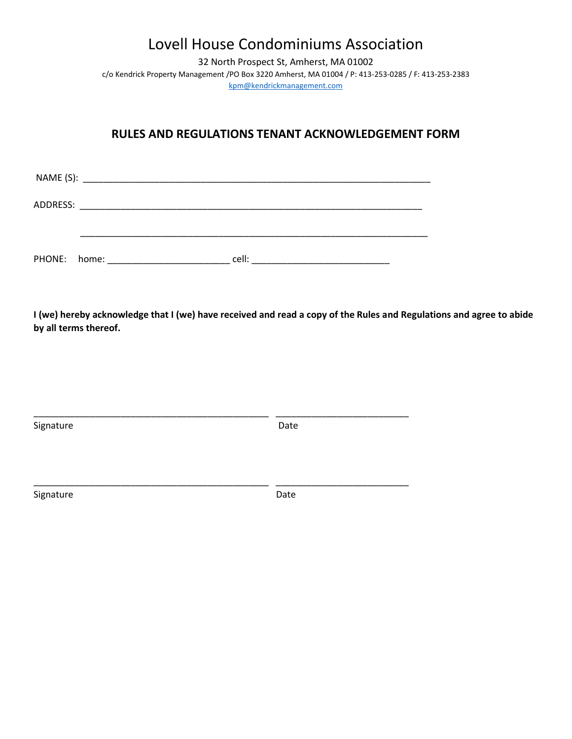32 North Prospect St, Amherst, MA 01002 c/o Kendrick Property Management /PO Box 3220 Amherst, MA 01004 / P: 413-253-0285 / F: 413-253-2383 [kpm@kendrickmanagement.com](mailto:kpm@kendrickmanagement.com)

### **RULES AND REGULATIONS TENANT ACKNOWLEDGEMENT FORM**

| ADDRESS:     | <u> 2000 - 2000 - 2000 - 2000 - 2000 - 2000 - 2000 - 2000 - 2000 - 2000 - 2000 - 2000 - 2000 - 2000 - 2000 - 200</u> |       |  |
|--------------|----------------------------------------------------------------------------------------------------------------------|-------|--|
|              |                                                                                                                      |       |  |
| PHONE: home: |                                                                                                                      | cell: |  |

**I (we) hereby acknowledge that I (we) have received and read a copy of the Rules and Regulations and agree to abide by all terms thereof.** 

| Signature | Date |  |
|-----------|------|--|
| Signature | Date |  |